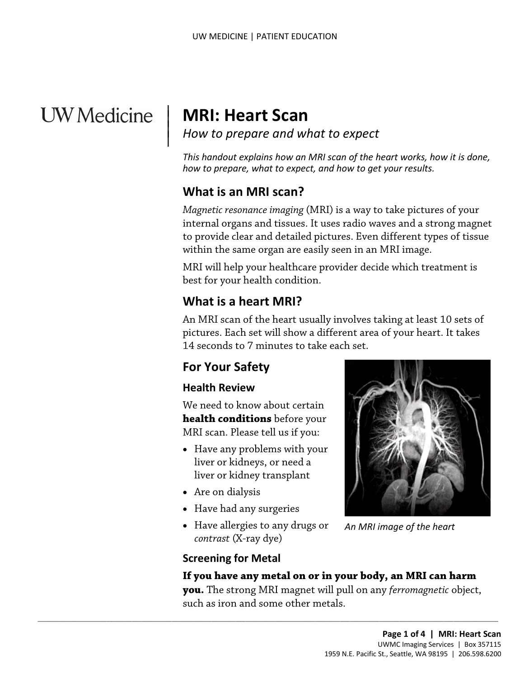# **UW** Medicine

 $\overline{\phantom{a}}$ 

<sup>|</sup>**MRI: Heart Scan** | *How to prepare and what to expect* <sup>|</sup>

 *This handout explains how an MRI scan of the heart works, how it is done, how to prepare, what to expect, and how to get your results.* 

# **What is an MRI scan?**

*Magnetic resonance imaging* (MRI) is a way to take pictures of your internal organs and tissues. It uses radio waves and a strong magnet to provide clear and detailed pictures. Even different types of tissue within the same organ are easily seen in an MRI image.

MRI will help your healthcare provider decide which treatment is best for your health condition.

# **What is a heart MRI?**

 An MRI scan of the heart usually involves taking at least 10 sets of to provide clear and detailed pictures. Even different types of tissu<br>within the same organ are easily seen in an MRI image.<br>MRI will help your healthcare provider decide which treatment is<br>best for your health condition.<br> pictures. Each set will show a different area of your heart. It takes 14 seconds to 7 minutes to take each set.

# **For Your Safety**

#### **Health Review**

 **health conditions** before your MRI scan. Please tell us if you: We need to know about certain

- Have any problems with your liver or kidneys, or need a liver or kidney transplant
- Are on dialysis
- Have had any surgeries
- *contrast* (X-ray dye) • Have allergies to any drugs or

 $\_$  , and the set of the set of the set of the set of the set of the set of the set of the set of the set of the set of the set of the set of the set of the set of the set of the set of the set of the set of the set of th



 *An MRI image of the heart* 

# **Screening for Metal**

#### **If you have any metal on or in your body, an MRI can harm**

 **you.** The strong MRI magnet will pull on any *ferromagnetic* object, such as iron and some other metals.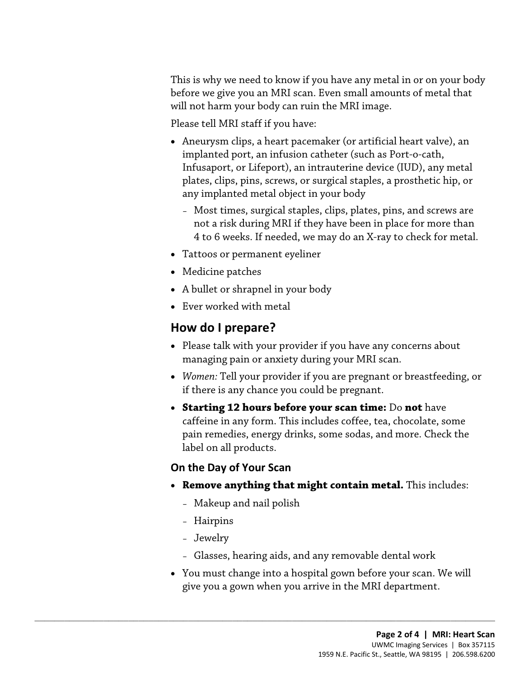before we give you an MRI scan. Even small amounts of metal that This is why we need to know if you have any metal in or on your body will not harm your body can ruin the MRI image.

Please tell MRI staff if you have:

- Aneurysm clips, a heart pacemaker (or artificial heart valve), an implanted port, an infusion catheter (such as Port-o-cath, Infusaport, or Lifeport), an intrauterine device (IUD), any metal plates, clips, pins, screws, or surgical staples, a prosthetic hip, or any implanted metal object in your body
	- – Most times, surgical staples, clips, plates, pins, and screws are not a risk during MRI if they have been in place for more than 4 to 6 weeks. If needed, we may do an X-ray to check for metal.
- Tattoos or permanent eyeliner
- Medicine patches
- A bullet or shrapnel in your body
- Ever worked with metal

# **How do I prepare?**

- Medicine patches<br>
 A bullet or shrapnel in your body<br>
 Ever worked with metal<br> **How do I prepare?**<br>
 Please talk with your provider if you have any concerns about<br>
managing pain or anxiety during your MRI scan. • Please talk with your provider if you have any concerns about managing pain or anxiety during your MRI scan.
	- *Women:* Tell your provider if you are pregnant or breastfeeding, or if there is any chance you could be pregnant.
	- • **Starting 12 hours before your scan time:** Do **not** have pain remedies, energy drinks, some sodas, and more. Check the caffeine in any form. This includes coffee, tea, chocolate, some label on all products.

#### **On the Day of Your Scan**

- • **Remove anything that might contain metal.** This includes:
	- Makeup and nail polish

 $\_$  ,  $\_$  ,  $\_$  ,  $\_$  ,  $\_$  ,  $\_$  ,  $\_$  ,  $\_$  ,  $\_$  ,  $\_$  ,  $\_$  ,  $\_$  ,  $\_$  ,  $\_$  ,  $\_$  ,  $\_$  ,  $\_$  ,  $\_$  ,  $\_$  ,  $\_$  ,  $\_$  ,  $\_$  ,  $\_$  ,  $\_$  ,  $\_$  ,  $\_$  ,  $\_$  ,  $\_$  ,  $\_$  ,  $\_$  ,  $\_$  ,  $\_$  ,  $\_$  ,  $\_$  ,  $\_$  ,  $\_$  ,  $\_$  ,

- Hairpins
- Jewelry
- Glasses, hearing aids, and any removable dental work
- You must change into a hospital gown before your scan. We will give you a gown when you arrive in the MRI department.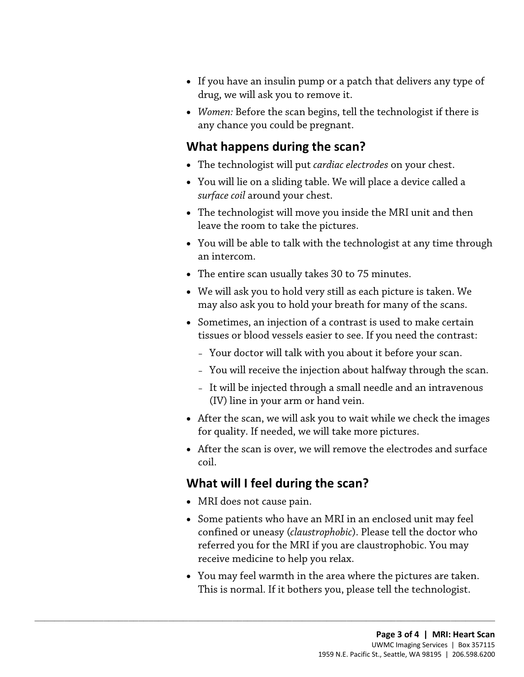- drug, we will ask you to remove it. • If you have an insulin pump or a patch that delivers any type of
- *Women:* Before the scan begins, tell the technologist if there is any chance you could be pregnant.

### **What happens during the scan?**

- The technologist will put *cardiac electrodes* on your chest.
- You will lie on a sliding table. We will place a device called a *surface coil* around your chest.
- • The technologist will move you inside the MRI unit and then leave the room to take the pictures.
- • You will be able to talk with the [technologist](javascript:glossAry() at any time through an intercom.
- The entire scan usually takes 30 to 75 minutes.
- • We will ask you to hold very still as each picture is taken. We • The entire scan usually takes 30 to 75 minutes.<br>• We will ask you to hold very still as each picture is taken. We may also ask you to hold your breath for many of the scans.<br>• Sometimes, an injection of a contrast is use may also ask you to hold your breath for many of the scans.
	- Sometimes, an injection of a contrast is used to make certain tissues or blood vessels easier to see. If you need the contrast:
		- Your doctor will talk with you about it before your scan.
		- You will receive the injection about halfway through the scan.
		- It will be injected through a small needle and an intravenous (IV) line in your arm or hand vein.
	- • After the scan, we will ask you to wait while we check the images for quality. If needed, we will take more pictures.
	- After the scan is over, we will remove the electrodes and surface coil.

# **What will I feel during the scan?**

 $\_$  ,  $\_$  ,  $\_$  ,  $\_$  ,  $\_$  ,  $\_$  ,  $\_$  ,  $\_$  ,  $\_$  ,  $\_$  ,  $\_$  ,  $\_$  ,  $\_$  ,  $\_$  ,  $\_$  ,  $\_$  ,  $\_$  ,  $\_$  ,  $\_$  ,  $\_$  ,  $\_$  ,  $\_$  ,  $\_$  ,  $\_$  ,  $\_$  ,  $\_$  ,  $\_$  ,  $\_$  ,  $\_$  ,  $\_$  ,  $\_$  ,  $\_$  ,  $\_$  ,  $\_$  ,  $\_$  ,  $\_$  ,  $\_$  ,

- MRI does not cause pain.
- Some patients who have an MRI in an enclosed unit may feel confined or uneasy (*claustrophobic*). Please tell the doctor who referred you for the MRI if you are claustrophobic. You may receive medicine to help you relax.
- • You may feel warmth in the area where the pictures are taken. This is normal. If it bothers you, please tell the [technologist.](javascript:glossAry()